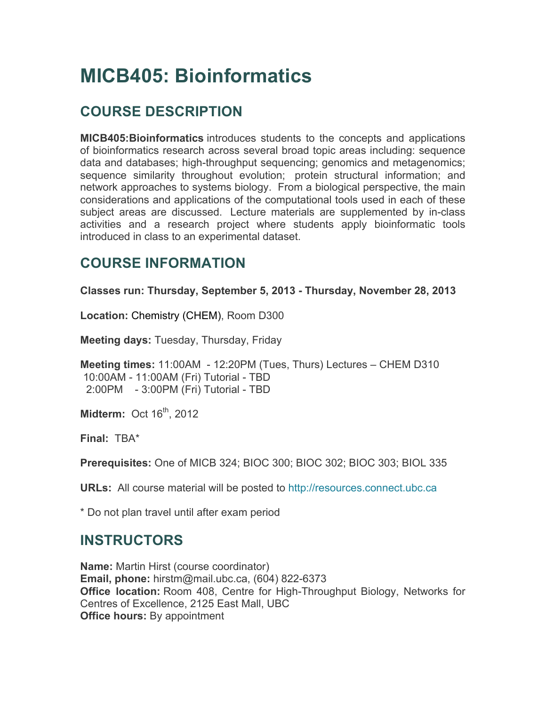# **MICB405: Bioinformatics**

# **COURSE DESCRIPTION**

**MICB405:Bioinformatics** introduces students to the concepts and applications of bioinformatics research across several broad topic areas including: sequence data and databases; high-throughput sequencing; genomics and metagenomics; sequence similarity throughout evolution; protein structural information; and network approaches to systems biology. From a biological perspective, the main considerations and applications of the computational tools used in each of these subject areas are discussed. Lecture materials are supplemented by in-class activities and a research project where students apply bioinformatic tools introduced in class to an experimental dataset.

## **COURSE INFORMATION**

**Classes run: Thursday, September 5, 2013 - Thursday, November 28, 2013**

**Location:** Chemistry (CHEM), Room D300

**Meeting days:** Tuesday, Thursday, Friday

**Meeting times:** 11:00AM - 12:20PM (Tues, Thurs) Lectures – CHEM D310 10:00AM - 11:00AM (Fri) Tutorial - TBD 2:00PM - 3:00PM (Fri) Tutorial - TBD

**Midterm: Oct 16<sup>th</sup>, 2012** 

**Final:** TBA\*

**Prerequisites:** One of MICB 324; BIOC 300; BIOC 302; BIOC 303; BIOL 335

**URLs:** All course material will be posted to http://resources.connect.ubc.ca

\* Do not plan travel until after exam period

### **INSTRUCTORS**

**Name:** Martin Hirst (course coordinator) **Email, phone:** hirstm@mail.ubc.ca, (604) 822-6373 **Office location:** Room 408, Centre for High-Throughput Biology, Networks for Centres of Excellence, 2125 East Mall, UBC **Office hours:** By appointment